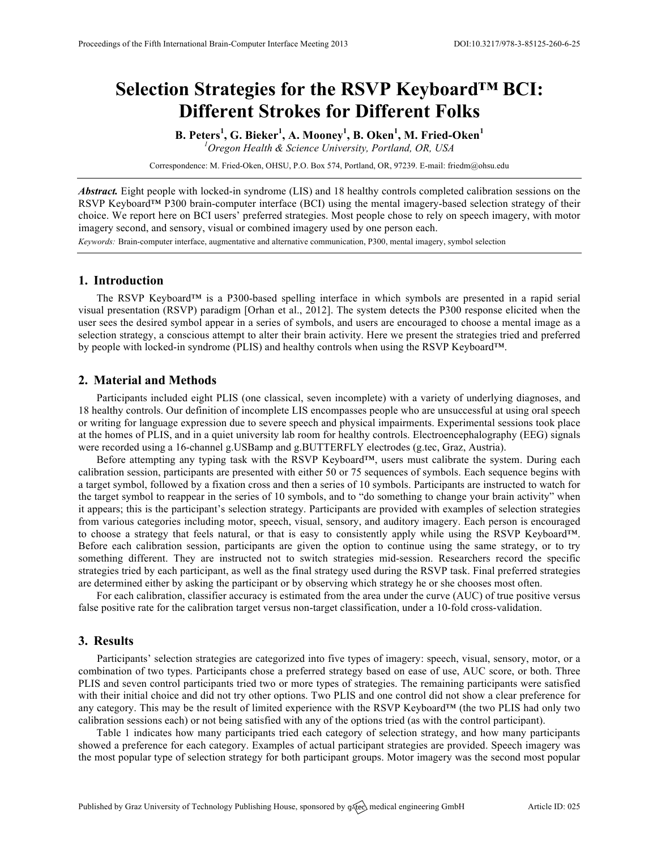# **Selection Strategies for the RSVP Keyboard™ BCI: Different Strokes for Different Folks**

**B. Peters<sup>1</sup> , G. Bieker<sup>1</sup> , A. Mooney<sup>1</sup> , B. Oken<sup>1</sup> , M. Fried-Oken<sup>1</sup>** *1 Oregon Health & Science University, Portland, OR, USA*

Correspondence: M. Fried-Oken, OHSU, P.O. Box 574, Portland, OR, 97239. E-mail: friedm@ohsu.edu

*Abstract.* Eight people with locked-in syndrome (LIS) and 18 healthy controls completed calibration sessions on the RSVP Keyboard™ P300 brain-computer interface (BCI) using the mental imagery-based selection strategy of their choice. We report here on BCI users' preferred strategies. Most people chose to rely on speech imagery, with motor imagery second, and sensory, visual or combined imagery used by one person each.

*Keywords:* Brain-computer interface, augmentative and alternative communication, P300, mental imagery, symbol selection

### **1. Introduction**

The RSVP Keyboard™ is a P300-based spelling interface in which symbols are presented in a rapid serial visual presentation (RSVP) paradigm [Orhan et al., 2012]. The system detects the P300 response elicited when the user sees the desired symbol appear in a series of symbols, and users are encouraged to choose a mental image as a selection strategy, a conscious attempt to alter their brain activity. Here we present the strategies tried and preferred by people with locked-in syndrome (PLIS) and healthy controls when using the RSVP Keyboard™.

## **2. Material and Methods**

Participants included eight PLIS (one classical, seven incomplete) with a variety of underlying diagnoses, and 18 healthy controls. Our definition of incomplete LIS encompasses people who are unsuccessful at using oral speech or writing for language expression due to severe speech and physical impairments. Experimental sessions took place at the homes of PLIS, and in a quiet university lab room for healthy controls. Electroencephalography (EEG) signals were recorded using a 16-channel g.USBamp and g.BUTTERFLY electrodes (g.tec, Graz, Austria).

Before attempting any typing task with the RSVP Keyboard™, users must calibrate the system. During each calibration session, participants are presented with either 50 or 75 sequences of symbols. Each sequence begins with a target symbol, followed by a fixation cross and then a series of 10 symbols. Participants are instructed to watch for the target symbol to reappear in the series of 10 symbols, and to "do something to change your brain activity" when it appears; this is the participant's selection strategy. Participants are provided with examples of selection strategies from various categories including motor, speech, visual, sensory, and auditory imagery. Each person is encouraged to choose a strategy that feels natural, or that is easy to consistently apply while using the RSVP Keyboard™. Before each calibration session, participants are given the option to continue using the same strategy, or to try something different. They are instructed not to switch strategies mid-session. Researchers record the specific strategies tried by each participant, as well as the final strategy used during the RSVP task. Final preferred strategies are determined either by asking the participant or by observing which strategy he or she chooses most often.

For each calibration, classifier accuracy is estimated from the area under the curve (AUC) of true positive versus false positive rate for the calibration target versus non-target classification, under a 10-fold cross-validation.

## **3. Results**

Participants' selection strategies are categorized into five types of imagery: speech, visual, sensory, motor, or a combination of two types. Participants chose a preferred strategy based on ease of use, AUC score, or both. Three PLIS and seven control participants tried two or more types of strategies. The remaining participants were satisfied with their initial choice and did not try other options. Two PLIS and one control did not show a clear preference for any category. This may be the result of limited experience with the RSVP Keyboard™ (the two PLIS had only two calibration sessions each) or not being satisfied with any of the options tried (as with the control participant).

Table 1 indicates how many participants tried each category of selection strategy, and how many participants showed a preference for each category. Examples of actual participant strategies are provided. Speech imagery was the most popular type of selection strategy for both participant groups. Motor imagery was the second most popular